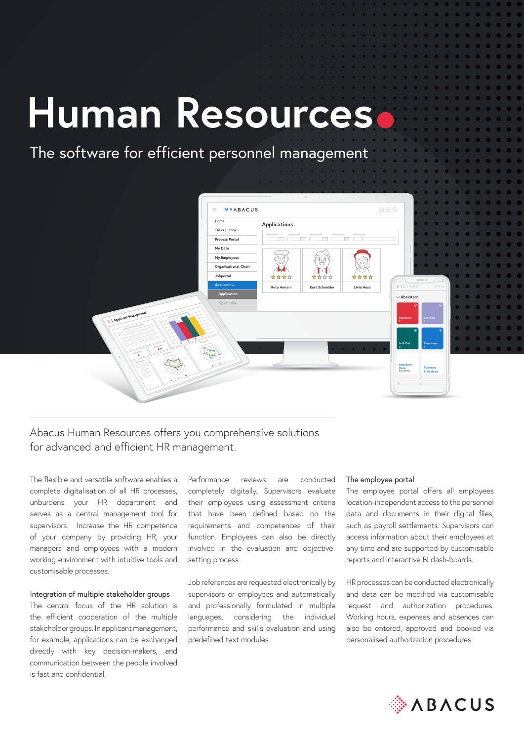# **Human Resources**

# The software for efficient personnel management

|                                | $\equiv$   MYABACUS              |                                   |                                                                                                                                     | $\circledcirc\odot\odot$                                                                                                                                                                                                                                                                                                                                                                                                                                                                                                                                                                        |                 |
|--------------------------------|----------------------------------|-----------------------------------|-------------------------------------------------------------------------------------------------------------------------------------|-------------------------------------------------------------------------------------------------------------------------------------------------------------------------------------------------------------------------------------------------------------------------------------------------------------------------------------------------------------------------------------------------------------------------------------------------------------------------------------------------------------------------------------------------------------------------------------------------|-----------------|
| Home                           | Applications                     |                                   |                                                                                                                                     |                                                                                                                                                                                                                                                                                                                                                                                                                                                                                                                                                                                                 |                 |
| Tasks   Inbox                  | -                                | $\sim$                            | $\sim$                                                                                                                              |                                                                                                                                                                                                                                                                                                                                                                                                                                                                                                                                                                                                 |                 |
| <b>Process Portal</b>          | $\sim$                           | $\sim$<br><b>Sing</b>             |                                                                                                                                     |                                                                                                                                                                                                                                                                                                                                                                                                                                                                                                                                                                                                 |                 |
| My Data                        |                                  |                                   |                                                                                                                                     |                                                                                                                                                                                                                                                                                                                                                                                                                                                                                                                                                                                                 |                 |
| My Employees                   | $\bar{\circ}$ $\cup \bar{\circ}$ | 808                               | $\circ$                                                                                                                             |                                                                                                                                                                                                                                                                                                                                                                                                                                                                                                                                                                                                 |                 |
| Organisational Chart           |                                  | $\bigcirc$                        | ▽                                                                                                                                   |                                                                                                                                                                                                                                                                                                                                                                                                                                                                                                                                                                                                 |                 |
| Jobportal                      | ****                             | $\stackrel{\circ}{\circ}$<br>**** | ****                                                                                                                                |                                                                                                                                                                                                                                                                                                                                                                                                                                                                                                                                                                                                 | $\qquad \circ$  |
| Applicant $\smallsmile$        | Reto Amrein                      | Kurt Schneider                    | Livia Hess                                                                                                                          | $+11110001$                                                                                                                                                                                                                                                                                                                                                                                                                                                                                                                                                                                     |                 |
| Application                    |                                  |                                   |                                                                                                                                     | $\vee$ Abaintern                                                                                                                                                                                                                                                                                                                                                                                                                                                                                                                                                                                |                 |
| Open Jobs                      |                                  |                                   |                                                                                                                                     |                                                                                                                                                                                                                                                                                                                                                                                                                                                                                                                                                                                                 | ⊛               |
|                                |                                  |                                   |                                                                                                                                     |                                                                                                                                                                                                                                                                                                                                                                                                                                                                                                                                                                                                 |                 |
| Applicant Management           |                                  |                                   |                                                                                                                                     | $\underset{0}{\text{Expenses}}% \begin{minipage}[c]{0.4\textwidth} \includegraphics[width=\textwidth]{Figures/Pibers.png}}% \end{minipage}% \begin{minipage}[c]{0.4\textwidth} \includegraphics[width=\textwidth]{Figures/Pibers.png}}% \end{minipage}% \caption{Example of the \textit{Hibers} model. The \textit{Hibers} model is the \textit{Hibers} model. The \textit{Hibers} model is the \textit{Hibers} model. The \textit{Hibers} model is the \textit{Hibers} model. The \textit{Hibers} model is the \textit{Hibers} model. The \textit{Hibers} model is the \textit{Hibers} model.$ | Services        |
|                                |                                  |                                   |                                                                                                                                     |                                                                                                                                                                                                                                                                                                                                                                                                                                                                                                                                                                                                 | $^{\circ}$      |
|                                |                                  |                                   |                                                                                                                                     | In & Out                                                                                                                                                                                                                                                                                                                                                                                                                                                                                                                                                                                        | Timesheet       |
| asa                            | <b>Contract Contract</b>         |                                   | $\begin{array}{cccccccccccccc} \bullet & \bullet & \bullet & \bullet & \bullet & \bullet & \bullet & \bullet & \bullet \end{array}$ | $\bullet$                                                                                                                                                                                                                                                                                                                                                                                                                                                                                                                                                                                       |                 |
| $\overline{\phantom{a}}$<br>K. |                                  |                                   |                                                                                                                                     |                                                                                                                                                                                                                                                                                                                                                                                                                                                                                                                                                                                                 |                 |
|                                |                                  |                                   |                                                                                                                                     | Employee<br>Data                                                                                                                                                                                                                                                                                                                                                                                                                                                                                                                                                                                | <b>Absences</b> |
|                                |                                  |                                   |                                                                                                                                     | Reto Amrein                                                                                                                                                                                                                                                                                                                                                                                                                                                                                                                                                                                     | & Balances<br>٠ |
|                                |                                  |                                   |                                                                                                                                     | $\mathbb{R}$                                                                                                                                                                                                                                                                                                                                                                                                                                                                                                                                                                                    | $_{\odot}$      |
|                                |                                  |                                   |                                                                                                                                     |                                                                                                                                                                                                                                                                                                                                                                                                                                                                                                                                                                                                 |                 |

# Abacus Human Resources offers you comprehensive solutions for advanced and efficient HR management.

The flexible and versatile software enables a complete digitalisation of all HR processes, unburdens your HR department and serves as a central management tool for supervisors. Increase the HR competence of your company by providing HR, your managers and employees with a modern working environment with intuitive tools and customisable processes.

### Integration of multiple stakeholder groups

The central focus of the HR solution is the efficient cooperation of the multiple stakeholder groups. In applicant management, for example, applications can be exchanged directly with key decision-makers, and communication between the people involved is fast and confidential.

Performance reviews are conducted completely digitally. Supervisors evaluate their employees using assessment criteria that have been defined based on the requirements and competences of their function. Employees can also be directly involved in the evaluation and objectivesetting process.

Job references are requested electronically by supervisors or employees and automatically and professionally formulated in multiple languages, considering the individual performance and skills evaluation and using predefined text modules.

## The employee portal

The employee portal offers all employees location-independent access to the personnel data and documents in their digital files, such as payroll settlements. Supervisors can access information about their employees at any time and are supported by customisable reports and interactive BI dash-boards.

HR processes can be conducted electronically and data can be modified via customisable request and authorization procedures. Working hours, expenses and absences can also be entered, approved and booked via personalised authorization procedures.